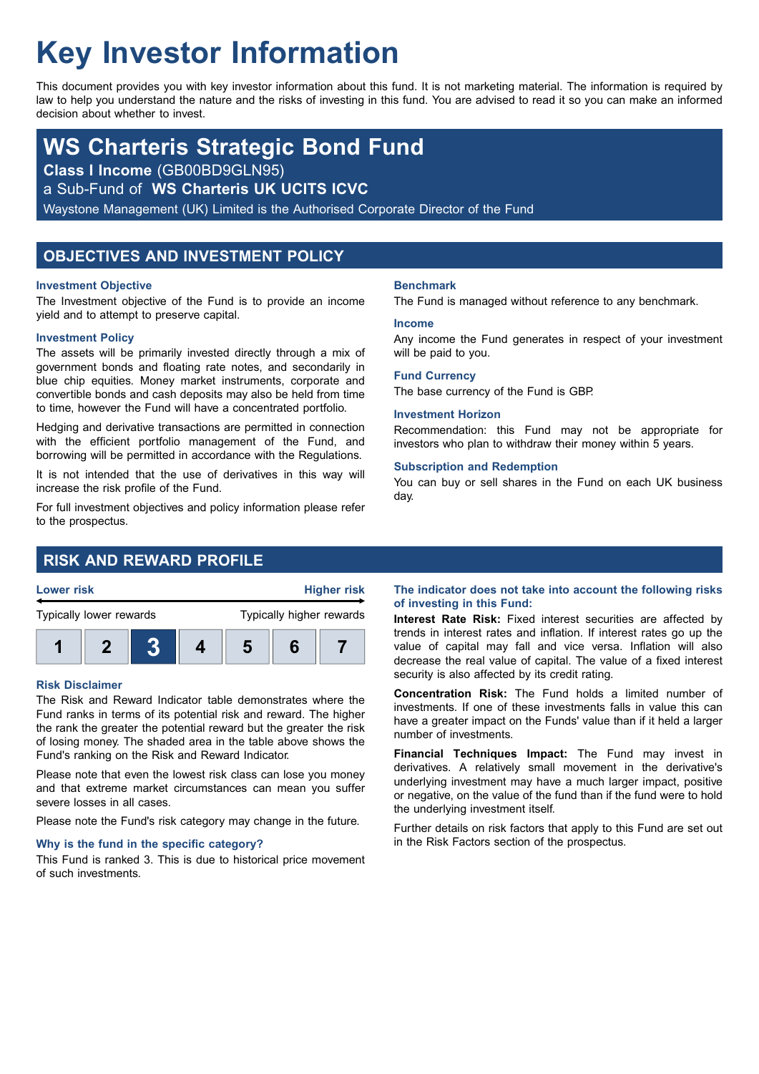# **Key Investor Information**

This document provides you with key investor information about this fund. It is not marketing material. The information is required by law to help you understand the nature and the risks of investing in this fund. You are advised to read it so you can make an informed decision about whether to invest.

# **WS Charteris Strategic Bond Fund**

**Class I Income** (GB00BD9GLN95)

a Sub-Fund of **WS Charteris UK UCITS ICVC**

Waystone Management (UK) Limited is the Authorised Corporate Director of the Fund

# **OBJECTIVES AND INVESTMENT POLICY**

#### **Investment Objective**

The Investment objective of the Fund is to provide an income yield and to attempt to preserve capital.

#### **Investment Policy**

The assets will be primarily invested directly through a mix of government bonds and floating rate notes, and secondarily in blue chip equities. Money market instruments, corporate and convertible bonds and cash deposits may also be held from time to time, however the Fund will have a concentrated portfolio.

Hedging and derivative transactions are permitted in connection with the efficient portfolio management of the Fund, and borrowing will be permitted in accordance with the Regulations.

It is not intended that the use of derivatives in this way will increase the risk profile of the Fund.

For full investment objectives and policy information please refer to the prospectus.

# **RISK AND REWARD PROFILE**



#### **Risk Disclaimer**

The Risk and Reward Indicator table demonstrates where the Fund ranks in terms of its potential risk and reward. The higher the rank the greater the potential reward but the greater the risk of losing money. The shaded area in the table above shows the Fund's ranking on the Risk and Reward Indicator.

Please note that even the lowest risk class can lose you money and that extreme market circumstances can mean you suffer severe losses in all cases.

Please note the Fund's risk category may change in the future.

#### **Why is the fund in the specific category?**

This Fund is ranked 3. This is due to historical price movement of such investments.

#### **Benchmark**

The Fund is managed without reference to any benchmark.

#### **Income**

Any income the Fund generates in respect of your investment will be paid to you.

#### **Fund Currency**

The base currency of the Fund is GBP.

#### **Investment Horizon**

Recommendation: this Fund may not be appropriate for investors who plan to withdraw their money within 5 years.

#### **Subscription and Redemption**

You can buy or sell shares in the Fund on each UK business day.

#### **The indicator does not take into account the following risks of investing in this Fund:**

**Interest Rate Risk:** Fixed interest securities are affected by trends in interest rates and inflation. If interest rates go up the value of capital may fall and vice versa. Inflation will also decrease the real value of capital. The value of a fixed interest security is also affected by its credit rating.

**Concentration Risk:** The Fund holds a limited number of investments. If one of these investments falls in value this can have a greater impact on the Funds' value than if it held a larger number of investments.

**Financial Techniques Impact:** The Fund may invest in derivatives. A relatively small movement in the derivative's underlying investment may have a much larger impact, positive or negative, on the value of the fund than if the fund were to hold the underlying investment itself.

Further details on risk factors that apply to this Fund are set out in the Risk Factors section of the prospectus.